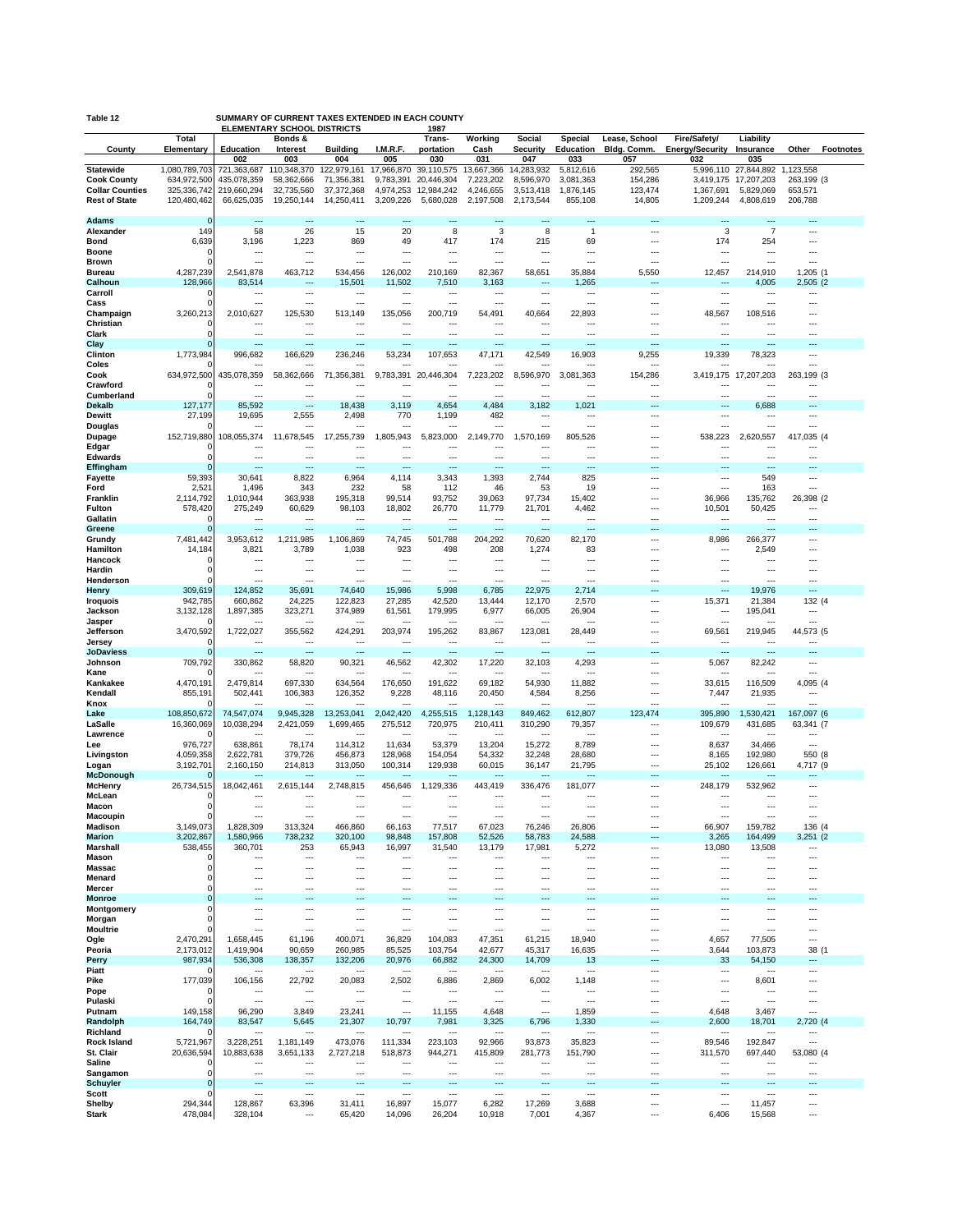| SUMMARY OF CURRENT TAXES EXTENDED IN EACH COUNTY<br>Table 12<br><b>ELEMENTARY SCHOOL DISTRICTS</b><br>1987 |                            |                            |                          |                                  |                                 |                                            |                                    |                        |                        |                              |                                        |                                   |                        |                  |
|------------------------------------------------------------------------------------------------------------|----------------------------|----------------------------|--------------------------|----------------------------------|---------------------------------|--------------------------------------------|------------------------------------|------------------------|------------------------|------------------------------|----------------------------------------|-----------------------------------|------------------------|------------------|
| County                                                                                                     | Total<br>Elementary        | <b>Education</b>           | Bonds &<br>Interest      | <b>Building</b>                  | I.M.R.F.                        | Trans-<br>portation                        | Working<br>Cash                    | Social<br>Security     | Special<br>Education   | Lease, School<br>Bldg. Comm. | Fire/Safety/<br><b>Energy/Security</b> | Liability<br>Insurance            | Other                  | <b>Footnotes</b> |
|                                                                                                            |                            | 002                        | 003                      | 004                              | 005                             | 030                                        | 031                                | 047                    | 033                    | 057                          | 032                                    | 035                               |                        |                  |
| <b>Statewide</b>                                                                                           | 1,080,789,703              | 721,363,687                | 110,348,370              | 122,979,161                      | 17,966,870                      | 39,110,575                                 | 13,667,366                         | 14,283,932             | 5,812,616              | 292,565                      | 5,996,110                              | 27,844,892                        | 1,123,558              |                  |
| <b>Cook County</b><br><b>Collar Counties</b>                                                               | 634,972,500<br>325,336,742 | 435,078,359<br>219,660,294 | 58,362,666<br>32,735,560 | 71,356,381<br>37, 372, 368       | 9,783,391<br>4,974,253          | 20,446,304<br>12,984,242                   | 7,223,202<br>4,246,655             | 8,596,970<br>3,513,418 | 3,081,363<br>1,876,145 | 154,286<br>123,474           | 1,367,691                              | 3,419,175 17,207,203<br>5,829,069 | 263,199 (3)<br>653,571 |                  |
| <b>Rest of State</b>                                                                                       | 120,480,462                | 66,625,035                 | 19,250,144               | 14,250,411                       | 3,209,226                       | 5,680,028                                  | 2,197,508                          | 2,173,544              | 855,108                | 14,805                       | 1,209,244                              | 4,808,619                         | 206,788                |                  |
| Adams                                                                                                      | $\Omega$                   | ---                        | ---                      | ---                              | $\sim$                          | $\overline{\phantom{a}}$                   | ---                                |                        | $\overline{a}$         |                              | ---                                    | ---                               | ---                    |                  |
| Alexander                                                                                                  | 149                        | 58                         | 26                       | 15                               | 20                              | 8                                          | 3                                  | 8                      | $\overline{1}$         |                              | 3                                      | $\overline{7}$                    |                        |                  |
| <b>Bond</b>                                                                                                | 6,639                      | 3,196                      | 1,223                    | 869                              | 49                              | 417                                        | 174                                | 215                    | 69                     | ⊷                            | 174                                    | 254                               | ---                    |                  |
| Boone<br><b>Brown</b>                                                                                      | 0<br>$\Omega$              | <br>                       | ---                      | $- - -$<br>---                   | $- - -$<br>---                  | $---$<br>---                               | ---<br>---                         | ---<br>---             | ---<br>---             | ---<br>                      | $\overline{\phantom{a}}$<br>---        | ---<br>---                        | ---                    |                  |
| Bureau                                                                                                     | 4,287,239                  | 2,541,878                  | 463,712                  | 534,456                          | 126,002                         | 210,169                                    | 82,367                             | 58,651                 | 35,884                 | 5,550                        | 12,457                                 | 214,910                           | 1,205 (1               |                  |
| Calhoun                                                                                                    | 128,966                    | 83,514                     |                          | 15,501                           | 11,502                          | 7,510                                      | 3,163                              | ---                    | 1,265                  | …                            |                                        | 4,005                             | 2,505 (2               |                  |
| Carroll<br>Cass                                                                                            | $\Omega$<br>O              | ---<br>---                 | ---<br>---               | ---<br>---                       | $\ddotsc$<br>---                | $---$<br>$\overline{a}$                    | ---<br>---                         | ---<br>---             | ---<br>---             | <br>---                      | $\cdots$<br>$\cdots$                   | ---<br>---                        | ---<br>---             |                  |
| Champaign                                                                                                  | 3,260,213                  | 2,010,627                  | 125,530                  | 513,149                          | 135,056                         | 200.719                                    | 54,491                             | 40,664                 | 22,893                 |                              | 48,567                                 | 108.516                           |                        |                  |
| Christian<br>Clark                                                                                         | 0                          | $\sim$                     | $\sim$<br>               | ---<br>---                       | ---<br>                         | $\overline{a}$<br>---                      | ---<br>                            | $---$<br>              | ---<br>                | <br>Ξ.                       | $\overline{\phantom{a}}$<br>---        | $---$<br>---                      | ---                    |                  |
| Clay                                                                                                       | r                          | $---$                      | ---                      | ---                              | ---                             | $\overline{\phantom{a}}$                   |                                    | ---                    | ---                    | ٠.,                          | $\overline{\phantom{a}}$               | ---                               | ---                    |                  |
| Clinton                                                                                                    | 1,773,984                  | 996,682                    | 166,629                  | 236,246                          | 53,234                          | 107,653                                    | 47,171                             | 42,549                 | 16,903                 | 9,255                        | 19,339                                 | 78,323                            | ---                    |                  |
| Coles<br>Cook                                                                                              | 634,972,500                | 435,078,359                | 58,362,666               | 71,356,381                       | 9,783,391                       | 20,446,304                                 | 7,223,202                          | 8,596,970              | 3,081,363              | 154,286                      | 3,419,175                              | ,207,203<br>17                    | 263,199 (3             |                  |
| Crawford                                                                                                   |                            |                            | -−∙                      | ---                              |                                 | ---                                        |                                    | ---                    | ÷.,                    |                              |                                        | ---                               |                        |                  |
| Cumberland                                                                                                 |                            | ---                        |                          | ---                              | ---                             | ---                                        | ---                                | ---                    | ---                    |                              | $\ddotsc$                              | ---                               | ---                    |                  |
| <b>Dekalb</b><br><b>Dewitt</b>                                                                             | 127,177<br>27,199          | 85,592<br>19,695           | ---<br>2,555             | 18,438<br>2,498                  | 3,119<br>770                    | 4,654<br>1,199                             | 4,484<br>482                       | 3,182<br>---           | 1,021<br>---           | <br>---                      | ---<br>$\ddotsc$                       | 6,688<br>---                      | <br>---                |                  |
| Douglas                                                                                                    |                            |                            | ---                      | ---                              |                                 | $\sim$                                     | ---                                | ---                    | ---                    |                              | ---                                    | ---                               | ---                    |                  |
| Dupage                                                                                                     | 152,719,880                | 108,055,374                | 11,678,545               | 17,255,739                       | 1,805,943                       | 5,823,000                                  | 2,149,770                          | 1,570,169              | 805,526                |                              | 538,223                                | 2,620,557                         | 417,035 (4             |                  |
| Edgar<br>Edwards                                                                                           | 0<br>$\Omega$              | $\cdots$<br>---            | <br>---                  | $--$<br>$\overline{\phantom{a}}$ | ---<br>$\sim$                   | $\overline{\phantom{a}}$<br>$\overline{a}$ | ---<br>---                         | ---<br>---             | ---<br>---             | ⊷<br>---                     | $\cdots$<br>$\ddotsc$                  | ---<br>---                        | <br>---                |                  |
| Effingham                                                                                                  | $\Omega$                   |                            | Ξ.                       | ---                              |                                 | ---                                        |                                    | ---                    | ٠.,                    |                              |                                        |                                   |                        |                  |
| <b>Fayette</b>                                                                                             | 59,393                     | 30,641                     | 8,822<br>343             | 6,964                            | 4,114                           | 3,343<br>112                               | 1,393                              | 2,744<br>53            | 825                    | $\cdots$<br>                 | $\cdots$<br>$\sim$                     | 549                               | ---<br>---             |                  |
| Ford<br>Franklin                                                                                           | 2,521<br>2,114,792         | 1,496<br>1,010,944         | 363,938                  | 232<br>195,318                   | 58<br>99,514                    | 93,752                                     | 46<br>39,063                       | 97,734                 | 19<br>15,402           | ---                          | 36,966                                 | 163<br>135,762                    | 26,398 (2              |                  |
| Fulton                                                                                                     | 578,420                    | 275,249                    | 60,629                   | 98,103                           | 18,802                          | 26,770                                     | 11,779                             | 21,701                 | 4,462                  |                              | 10,501                                 | 50,425                            | ---                    |                  |
| Gallatin<br>Greene                                                                                         | $\Omega$<br>∩              | $\sim$                     | <br>---                  | ---<br>---                       | ---<br>---                      | ---<br>$\overline{\phantom{a}}$            | ---<br>                            | ---<br>---             | Ξ.                     |                              | $\overline{\phantom{a}}$<br>$\ddotsc$  | $\overline{a}$                    |                        |                  |
| Grundy                                                                                                     | 7,481,442                  | 3,953,612                  | 1,211,985                | 1,106,869                        | 74,745                          | 501,788                                    | 204,292                            | 70,620                 | 82,170                 |                              | 8,986                                  | 266,377                           |                        |                  |
| Hamilton                                                                                                   | 14,184                     | 3,821                      | 3,789                    | 1,038                            | 923                             | 498                                        | 208                                | 1,274                  | 83                     | ⊷                            | $\cdots$                               | 2,549                             | ---                    |                  |
| Hancock<br>Hardin                                                                                          | 0<br>0                     | $\sim$<br>---              | <br>                     | ---<br>---                       | ---<br>---                      | $---$<br>---                               | ---<br>                            | ---<br>---             | ---<br>Ξ.              |                              | $\ddotsc$<br>---                       | ---                               | ---                    |                  |
| Henderson                                                                                                  | O                          | $\sim$                     | $\sim$                   | ---                              | ---                             | $\sim$                                     | ---                                | $\sim$                 | $\sim$                 |                              | $\ddotsc$                              | ---                               | ---                    |                  |
| Henry                                                                                                      | 309,619<br>942,785         | 124,852<br>660,862         | 35,691<br>24,225         | 74,640<br>122,823                | 15,986<br>27,285                | 5,998<br>42,520                            | 6,785<br>13.444                    | 22,975<br>12,170       | 2,714<br>2,570         |                              |                                        | 19,976                            | ---                    |                  |
| <b>Iroquois</b><br>Jackson                                                                                 | 3,132,128                  | 1,897,385                  | 323,271                  | 374,989                          | 61,561                          | 179,995                                    | 6,977                              | 66,005                 | 26,904                 | <br>                         | 15,371<br>$\sim$                       | 21,384<br>195,041                 | 132 (4<br>---          |                  |
| Jasper                                                                                                     |                            |                            |                          | ---                              |                                 |                                            | ---                                | ---                    |                        |                              |                                        |                                   |                        |                  |
| Jefferson<br>Jersey                                                                                        | 3,470,592<br>0             | 1,722,027                  | 355,562<br>---           | 424,291<br>---                   | 203,974<br>                     | 195,262<br>---                             | 83,867<br>                         | 123,081<br>---         | 28,449<br>             | <br>Ξ.                       | 69,561                                 | 219,945                           | 44,573 (5              |                  |
| <b>JoDaviess</b>                                                                                           |                            | ---                        | $\overline{\phantom{a}}$ | $\overline{\phantom{a}}$         | $\overline{\phantom{a}}$        | ---                                        |                                    | ---                    | ---                    |                              | ---                                    | ---                               | ---                    |                  |
| Johnson                                                                                                    | 709,792                    | 330,862                    | 58,820                   | 90,321                           | 46,562                          | 42,302                                     | 17,220                             | 32,103                 | 4,293                  | $\cdots$                     | 5,067                                  | 82,242                            | ---                    |                  |
| Kane<br>Kankakee                                                                                           | 4,470,191                  | 2,479,814                  | 697,330                  | 634,564                          | 176,650                         | 191,622                                    | 69,182                             | 54,930                 | 11,882                 | ш,<br>---                    | 33,615                                 | 116,509                           | 4,095 (4               |                  |
| Kendall                                                                                                    | 855,191                    | 502,441                    | 106,383                  | 126,352                          | 9,228                           | 48,116                                     | 20,450                             | 4,584                  | 8,256                  | …                            | 7,447                                  | 21,935                            | ---                    |                  |
| Knox<br>Lake                                                                                               | 108,850,672                | ---<br>74,547,074          | $\sim$<br>9,945,328      | ---<br>13,253,041                | $- - -$<br>2,042,420            | $---$<br>4,255,515                         | ---<br>1,128,143                   | $---$<br>849,462       | ---<br>612,807         | <br>123,474                  | $\sim$<br>395,890                      | ---<br>1,530,421                  | ---<br>167,097 (6      |                  |
| LaSalle                                                                                                    | 16,360,069                 | 10,038,294                 | 2,421,059                | 1,699,465                        | 275,512                         | 720,975                                    | 210,411                            | 310,290                | 79,357                 | ---                          | 109,679                                | 431,685                           | 63,341 (7              |                  |
| Lawrence                                                                                                   |                            | $\sim$                     | $\sim$                   | ---                              | $\sim$                          | $---$                                      | ---                                | $---$                  | ---                    |                              | $\sim$                                 | $- - -$                           | ---                    |                  |
| Lee<br>Livingston                                                                                          | 976,727<br>4,059,358       | 638,861<br>2.622.781       | 78,174<br>379,726        | 114,312<br>456,873               | 11,634<br>128,968               | 53,379<br>154,054                          | 13,204<br>54,332                   | 15,272<br>32,248       | 8,789<br>28,680        | <br>---                      | 8,637<br>8,165                         | 34,466<br>192,980                 | 550 (8                 |                  |
| Logan                                                                                                      | 3,192,701                  | 2,160,150                  | 214,813                  | 313,050                          | 100,314                         | 129,938                                    | 60,015                             | 36,147                 | 21,795                 | $\sim$                       | 25,102                                 | 126,661                           | 4,717 (9               |                  |
| <b>McDonough</b>                                                                                           |                            |                            | 2,615,144                |                                  |                                 | 1,129,336                                  | 443,419                            | 336,476                |                        | $\cdots$                     | 248,179                                | 532,962                           | ---                    |                  |
| McHenry<br>McLean                                                                                          | 26,734,515<br>C            | 18,042,461                 |                          | 2,748,815<br>                    | 456,646<br>                     |                                            |                                    | ---                    | 181,077                | Ξ.                           |                                        |                                   |                        |                  |
| Macon                                                                                                      | $\mathbf 0$                | ---                        | ---                      | ---                              | $---$                           | $\overline{a}$                             |                                    | ---                    | ---                    | ---                          | $\overline{\phantom{a}}$               | ---                               | ---                    |                  |
| Macoupin<br><b>Madison</b>                                                                                 | 3,149,073                  | 1,828,309                  | 313,324                  | ---<br>466,860                   | 66,163                          | $---$<br>77,517                            | 67,023                             | 76,246                 | ---<br>26,806          | ---                          | <br>66,907                             | 159,782                           | 136 (4                 |                  |
| <b>Marion</b>                                                                                              | 3,202,867                  | 1,580,966                  | 738,232                  | 320,100                          | 98,848                          | 157,808                                    | 52,526                             | 58,783                 | 24,588                 |                              | 3,265                                  | 164,499                           | 3,251(2)               |                  |
| Marshall                                                                                                   | 538,455<br>0               | 360,701<br>$\sim$          | 253<br>                  | 65,943                           | 16,997                          | 31,540<br>$\cdots$                         | 13,179                             | 17,981                 | 5,272<br>---           | <br>                         | 13,080<br>$\cdots$                     | 13,508<br>                        | <br>---                |                  |
| Mason<br>Massac                                                                                            | 0                          | ---                        | $\cdots$                 | ---<br>---                       | ---<br>$\sim$                   | $\overline{a}$                             | ---<br>---                         | ---<br>---             | ---                    | $\cdots$                     | $\cdots$                               | ---                               | ---                    |                  |
| Menard                                                                                                     | 0                          |                            |                          | ---                              | ---                             | ---                                        |                                    | ---                    |                        |                              | ---                                    |                                   |                        |                  |
| Mercer<br><b>Monroe</b>                                                                                    | $\Omega$<br>$\mathbf 0$    | $\sim$                     | ---                      | ---                              | $\sim$<br>                      | $\overline{a}$<br>---                      | ---                                | ---<br>                | ---                    |                              | ---                                    | ---                               | ---                    |                  |
| Montgomery                                                                                                 | $\Omega$                   | ---                        | ---                      | ---                              | $\overline{\phantom{a}}$        | $\cdots$                                   | ---                                | ---                    | ---                    | ---                          | $\cdots$                               | ---                               | ---                    |                  |
| Morgan                                                                                                     | $\Omega$                   |                            | ---                      | ---                              | $\ddotsc$                       | $\cdots$                                   | ---                                |                        | ---                    |                              | $\cdots$                               | ---                               | ---                    |                  |
| <b>Moultrie</b><br>Ogle                                                                                    | 2,470,291                  | <br>1,658,445              | <br>61,196               | ---<br>400,071                   | ---<br>36,829                   | <br>104,083                                | ---<br>47,351                      | <br>61,215             | ---<br>18,940          | …<br>                        | $\overline{\phantom{a}}$<br>4,657      | ---<br>77,505                     | ---<br>---             |                  |
| Peoria                                                                                                     | 2,173,012                  | 1,419,904                  | 90,659                   | 260,985                          | 85,525                          | 103,754                                    | 42,677                             | 45,317                 | 16,635                 |                              | 3,644                                  | 103,873                           | 38 (1                  |                  |
| Perry                                                                                                      | 987,934                    | 536,308<br>$\overline{a}$  | 138,357<br>$- - -$       | 132,206<br>---                   | 20,976<br>$\sim$                | 66,882<br>$\overline{a}$                   | 24,300<br>$\overline{\phantom{a}}$ | 14,709<br>$\sim$       | 13<br>---              | ---<br>$\cdots$              | 33<br>$\cdots$                         | 54,150<br>$---$                   | <br>---                |                  |
| Piatt<br>Pike                                                                                              | C<br>177,039               | 106,156                    | 22,792                   | 20,083                           | 2,502                           | 6,886                                      | 2,869                              | 6,002                  | 1,148                  |                              | $\overline{\phantom{a}}$               | 8,601                             | ---                    |                  |
| Pope                                                                                                       | 0                          | ---                        | $\overline{\phantom{a}}$ | ---                              |                                 | $\cdots$                                   | ---                                | ---                    | ---                    |                              | $\cdots$                               | ---                               | ---                    |                  |
| Pulaski<br>Putnam                                                                                          | 0<br>149,158               | 96,290                     | <br>3,849                | ---<br>23,241                    | ---<br>$\overline{\phantom{a}}$ | ---<br>11,155                              | <br>4,648                          | ---<br>                | <br>1,859              | <br>---                      | ---<br>4,648                           | ۰.,<br>3,467                      | <br>---                |                  |
| Randolph                                                                                                   | 164,749                    | 83,547                     | 5,645                    | 21,307                           | 10,797                          | 7,981                                      | 3,325                              | 6,796                  | 1,330                  | ---                          | 2,600                                  | 18,701                            | 2,720 (4               |                  |
| Richland                                                                                                   |                            |                            |                          | ---                              | ---                             |                                            |                                    | ---                    | ---                    | ---                          | $\ddotsc$                              |                                   |                        |                  |
| <b>Rock Island</b><br>St. Clair                                                                            | 5,721,967<br>20,636,594    | 3,228,251<br>10,883,638    | 1,181,149<br>3,651,133   | 473,076<br>2,727,218             | 111,334<br>518,873              | 223,103<br>944,271                         | 92,966<br>415,809                  | 93,873<br>281,773      | 35,823<br>151,790      | <br>                         | 89,546<br>311,570                      | 192,847<br>697,440                | ---<br>53,080 (4       |                  |
| Saline                                                                                                     |                            | $\sim$                     |                          | ---                              | $\ddotsc$                       | $\cdots$                                   | ---                                | ---                    | ---                    |                              | $\cdots$                               | ---                               |                        |                  |
| Sangamon                                                                                                   | $\Omega$                   | ---                        | $\cdots$                 | ---                              | $\sim$                          | $---$                                      | $\overline{\phantom{a}}$           | ---                    | ---                    | $\sim$                       | $\cdots$                               | $\overline{\phantom{a}}$          | ---                    |                  |
| <b>Schuyler</b><br>Scott                                                                                   | $\mathbf 0$<br>O           | ---                        | Ξ.<br>---                | $\overline{\phantom{a}}$         | <br>---                         | ---<br>$\overline{a}$                      | ---                                | ---<br>---             | ---                    | $\cdots$                     | ---<br>$\cdots$                        | ---                               |                        |                  |
| Shelby                                                                                                     | 294,344                    | 128,867                    | 63,396                   | 31,411                           | 16,897                          | 15,077                                     | 6,282                              | 17,269                 | 3,688                  |                              | $\overline{\phantom{a}}$               | 11,457                            |                        |                  |
| <b>Stark</b>                                                                                               | 478,084                    | 328,104                    | ---                      | 65,420                           | 14,096                          | 26,204                                     | 10,918                             | 7,001                  | 4,367                  | ⊷                            | 6,406                                  | 15,568                            | ---                    |                  |